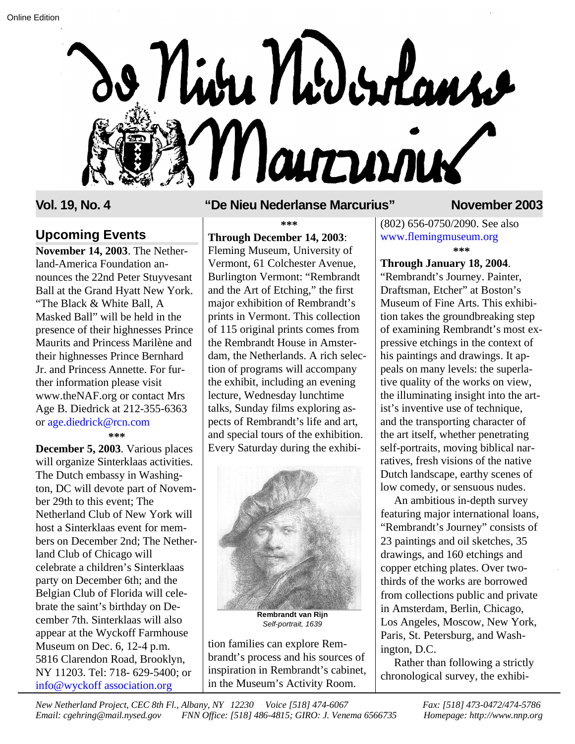

## **Upcoming Events Through December 14, 2003**:

land-America Foundation announces the 22nd Peter Stuyvesant Ball at the Grand Hyatt New York. "The Black & White Ball, A Masked Ball" will be held in the presence of their highnesses Prince Maurits and Princess Marilène and their highnesses Prince Bernhard Jr. and Princess Annette. For further information please visit www.theNAF.org or contact Mrs Age B. Diedrick at 212-355-6363 or age.diedrick@rcn.com **November 14, 2003**. The Nether-

**\*\*\***

**December 5, 2003**. Various places will organize Sinterklaas activities. The Dutch embassy in Washington, DC will devote part of November 29th to this event; The Netherland Club of New York will host a Sinterklaas event for members on December 2nd; The Netherland Club of Chicago will celebrate a children's Sinterklaas party on December 6th; and the Belgian Club of Florida will celebrate the saint's birthday on December 7th. Sinterklaas will also appear at the Wyckoff Farmhouse Museum on Dec. 6, 12-4 p.m. 5816 Clarendon Road, Brooklyn, NY 11203. Tel: 718- 629-5400; or info@wyckoff association.org

## **Vol. 19, No. 4 "De Nieu Nederlanse Marcurius" November 2003**

#### **\*\*\***

Fleming Museum, University of Vermont, 61 Colchester Avenue, Burlington Vermont: "Rembrandt and the Art of Etching," the first major exhibition of Rembrandt's prints in Vermont. This collection of 115 original prints comes from the Rembrandt House in Amsterdam, the Netherlands. A rich selection of programs will accompany the exhibit, including an evening lecture, Wednesday lunchtime talks, Sunday films exploring aspects of Rembrandt's life and art, and special tours of the exhibition. Every Saturday during the exhibi-



**Rembrandt van Rijn** *Self-portrait, 1639*

tion families can explore Rembrandt's process and his sources of inspiration in Rembrandt's cabinet, in the Museum's Activity Room.

(802) 656-0750/2090. See also www.flemingmuseum.org **\*\*\***

## **Through January 18, 2004**.

"Rembrandt's Journey. Painter, Draftsman, Etcher" at Boston's Museum of Fine Arts. This exhibition takes the groundbreaking step of examining Rembrandt's most expressive etchings in the context of his paintings and drawings. It appeals on many levels: the superlative quality of the works on view, the illuminating insight into the artist's inventive use of technique, and the transporting character of the art itself, whether penetrating self-portraits, moving biblical narratives, fresh visions of the native Dutch landscape, earthy scenes of low comedy, or sensuous nudes.

An ambitious in-depth survey featuring major international loans, "Rembrandt's Journey" consists of 23 paintings and oil sketches, 35 drawings, and 160 etchings and copper etching plates. Over twothirds of the works are borrowed from collections public and private in Amsterdam, Berlin, Chicago, Los Angeles, Moscow, New York, Paris, St. Petersburg, and Washington, D.C.

Rather than following a strictly chronological survey, the exhibi-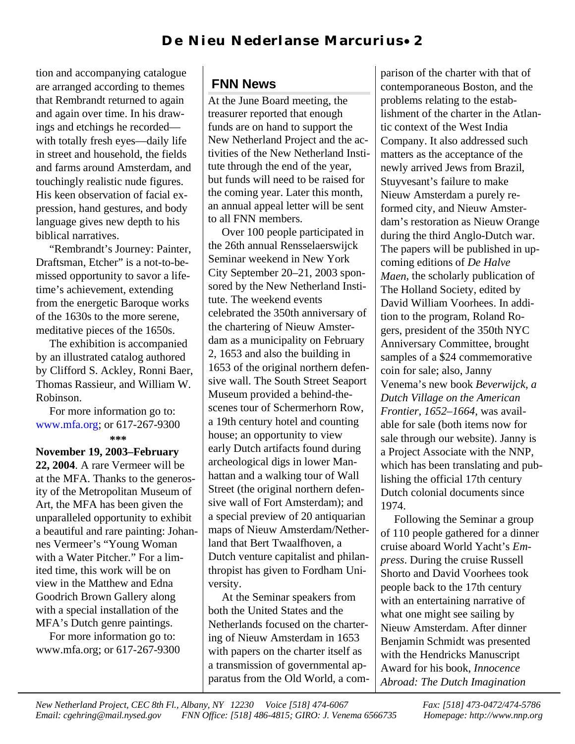tion and accompanying catalogue are arranged according to themes that Rembrandt returned to again and again over time. In his drawings and etchings he recorded with totally fresh eyes—daily life in street and household, the fields and farms around Amsterdam, and touchingly realistic nude figures. His keen observation of facial expression, hand gestures, and body language gives new depth to his biblical narratives.

"Rembrandt's Journey: Painter, Draftsman, Etcher" is a not-to-bemissed opportunity to savor a lifetime's achievement, extending from the energetic Baroque works of the 1630s to the more serene, meditative pieces of the 1650s.

The exhibition is accompanied by an illustrated catalog authored by Clifford S. Ackley, Ronni Baer, Thomas Rassieur, and William W. Robinson.

For more information go to: www.mfa.org; or 617-267-9300  **\*\*\***

**November 19, 2003–February 22, 2004**. A rare Vermeer will be at the MFA. Thanks to the generosity of the Metropolitan Museum of Art, the MFA has been given the unparalleled opportunity to exhibit a beautiful and rare painting: Johannes Vermeer's "Young Woman with a Water Pitcher." For a limited time, this work will be on view in the Matthew and Edna Goodrich Brown Gallery along with a special installation of the MFA's Dutch genre paintings.

For more information go to: www.mfa.org; or 617-267-9300

# **FNN News**

At the June Board meeting, the treasurer reported that enough funds are on hand to support the New Netherland Project and the activities of the New Netherland Institute through the end of the year, but funds will need to be raised for the coming year. Later this month, an annual appeal letter will be sent to all FNN members.

Over 100 people participated in the 26th annual Rensselaerswijck Seminar weekend in New York City September 20–21, 2003 sponsored by the New Netherland Institute. The weekend events celebrated the 350th anniversary of the chartering of Nieuw Amsterdam as a municipality on February 2, 1653 and also the building in 1653 of the original northern defensive wall. The South Street Seaport Museum provided a behind-thescenes tour of Schermerhorn Row, a 19th century hotel and counting house; an opportunity to view early Dutch artifacts found during archeological digs in lower Manhattan and a walking tour of Wall Street (the original northern defensive wall of Fort Amsterdam); and a special preview of 20 antiquarian maps of Nieuw Amsterdam/Netherland that Bert Twaalfhoven, a Dutch venture capitalist and philanthropist has given to Fordham University.

At the Seminar speakers from both the United States and the Netherlands focused on the chartering of Nieuw Amsterdam in 1653 with papers on the charter itself as a transmission of governmental apparatus from the Old World, a com-

parison of the charter with that of contemporaneous Boston, and the problems relating to the establishment of the charter in the Atlantic context of the West India Company. It also addressed such matters as the acceptance of the newly arrived Jews from Brazil, Stuyvesant's failure to make Nieuw Amsterdam a purely reformed city, and Nieuw Amsterdam's restoration as Nieuw Orange during the third Anglo-Dutch war. The papers will be published in upcoming editions of *De Halve Maen*, the scholarly publication of The Holland Society, edited by David William Voorhees. In addition to the program, Roland Rogers, president of the 350th NYC Anniversary Committee, brought samples of a \$24 commemorative coin for sale; also, Janny Venema's new book *Beverwijck, a Dutch Village on the American Frontier, 1652–1664*, was available for sale (both items now for sale through our website). Janny is a Project Associate with the NNP, which has been translating and publishing the official 17th century Dutch colonial documents since 1974.

Following the Seminar a group of 110 people gathered for a dinner cruise aboard World Yacht's *Empress*. During the cruise Russell Shorto and David Voorhees took people back to the 17th century with an entertaining narrative of what one might see sailing by Nieuw Amsterdam. After dinner Benjamin Schmidt was presented with the Hendricks Manuscript Award for his book, *Innocence Abroad: The Dutch Imagination*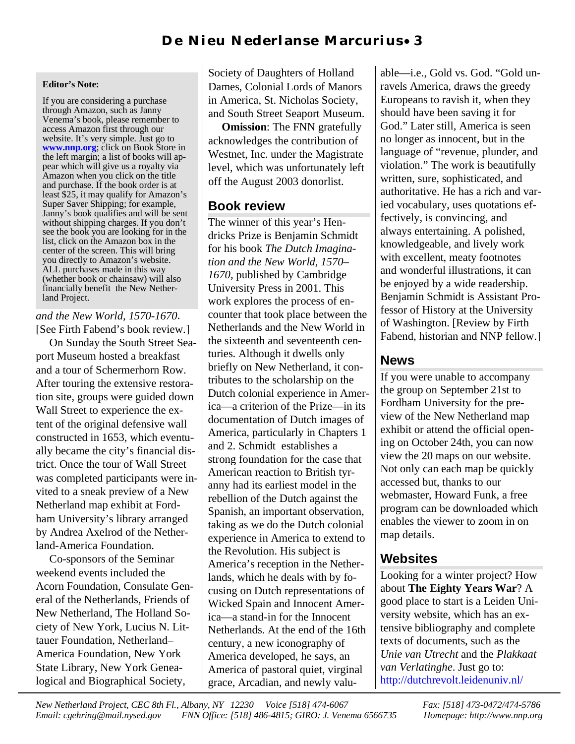### **Editor's Note:**

If you are considering a purchase through Amazon, such as Janny Venema's book, please remember to access Amazon first through our website. It's very simple. Just go to www.nnp.org; click on Book Store in the left margin; a list of books will appear which will give us a royalty via Amazon when you click on the title and purchase. If the book order is at least \$25, it may qualify for Amazon's Super Saver Shipping; for example, Janny's book qualifies and will be sent without shipping charges. If you don't see the book you are looking for in the list, click on the Amazon box in the center of the screen. This will bring you directly to Amazon's website. ALL purchases made in this way (whether book or chainsaw) will also financially benefit the New Netherland Project.

## *and the New World, 1570-1670*. [See Firth Fabend's book review.]

On Sunday the South Street Seaport Museum hosted a breakfast and a tour of Schermerhorn Row. After touring the extensive restoration site, groups were guided down Wall Street to experience the extent of the original defensive wall constructed in 1653, which eventually became the city's financial district. Once the tour of Wall Street was completed participants were invited to a sneak preview of a New Netherland map exhibit at Fordham University's library arranged by Andrea Axelrod of the Netherland-America Foundation.

Co-sponsors of the Seminar weekend events included the Acorn Foundation, Consulate General of the Netherlands, Friends of New Netherland, The Holland Society of New York, Lucius N. Littauer Foundation, Netherland– America Foundation, New York State Library, New York Genealogical and Biographical Society,

Society of Daughters of Holland Dames, Colonial Lords of Manors in America, St. Nicholas Society, and South Street Seaport Museum.

**Omission**: The FNN gratefully acknowledges the contribution of Westnet, Inc. under the Magistrate level, which was unfortunately left off the August 2003 donorlist.

## **Book review**

The winner of this year's Hendricks Prize is Benjamin Schmidt for his book *The Dutch Imagination and the New World, 1570– 1670*, published by Cambridge University Press in 2001. This work explores the process of encounter that took place between the Netherlands and the New World in the sixteenth and seventeenth centuries. Although it dwells only briefly on New Netherland, it contributes to the scholarship on the Dutch colonial experience in America—a criterion of the Prize—in its documentation of Dutch images of America, particularly in Chapters 1 and 2. Schmidt establishes a strong foundation for the case that American reaction to British tyranny had its earliest model in the rebellion of the Dutch against the Spanish, an important observation, taking as we do the Dutch colonial experience in America to extend to the Revolution. His subject is America's reception in the Netherlands, which he deals with by focusing on Dutch representations of Wicked Spain and Innocent America—a stand-in for the Innocent Netherlands. At the end of the 16th century, a new iconography of America developed, he says, an America of pastoral quiet, virginal grace, Arcadian, and newly valu-

able—i.e., Gold vs. God. "Gold unravels America, draws the greedy Europeans to ravish it, when they should have been saving it for God." Later still, America is seen no longer as innocent, but in the language of "revenue, plunder, and violation." The work is beautifully written, sure, sophisticated, and authoritative. He has a rich and varied vocabulary, uses quotations effectively, is convincing, and always entertaining. A polished, knowledgeable, and lively work with excellent, meaty footnotes and wonderful illustrations, it can be enjoyed by a wide readership. Benjamin Schmidt is Assistant Professor of History at the University of Washington. [Review by Firth Fabend, historian and NNP fellow.]

## **News**

If you were unable to accompany the group on September 21st to Fordham University for the preview of the New Netherland map exhibit or attend the official opening on October 24th, you can now view the 20 maps on our website. Not only can each map be quickly accessed but, thanks to our webmaster, Howard Funk, a free program can be downloaded which enables the viewer to zoom in on map details.

# **Websites**

Looking for a winter project? How about **The Eighty Years War**? A good place to start is a Leiden University website, which has an extensive bibliography and complete texts of documents, such as the *Unie van Utrecht* and the *Plakkaat van Verlatinghe*. Just go to: http://dutchrevolt.leidenuniv.nl/